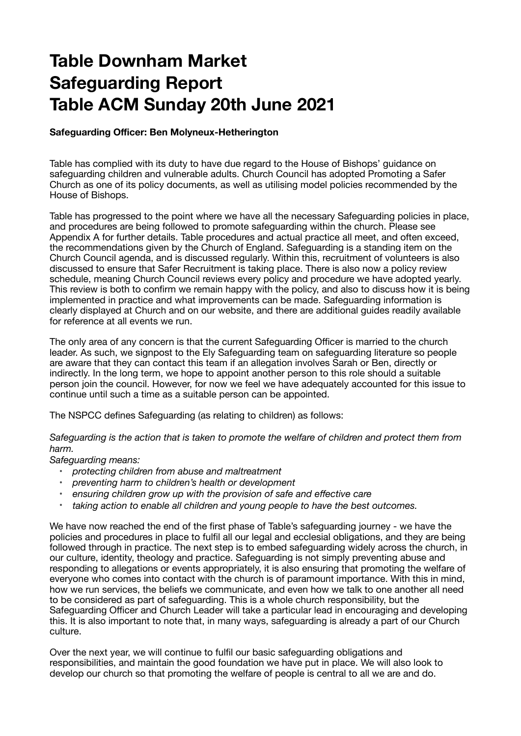## **Table Downham Market Safeguarding Report Table ACM Sunday 20th June 2021**

## **Safeguarding Officer: Ben Molyneux-Hetherington**

Table has complied with its duty to have due regard to the House of Bishops' guidance on safeguarding children and vulnerable adults. Church Council has adopted Promoting a Safer Church as one of its policy documents, as well as utilising model policies recommended by the House of Bishops.

Table has progressed to the point where we have all the necessary Safeguarding policies in place, and procedures are being followed to promote safeguarding within the church. Please see Appendix A for further details. Table procedures and actual practice all meet, and often exceed, the recommendations given by the Church of England. Safeguarding is a standing item on the Church Council agenda, and is discussed regularly. Within this, recruitment of volunteers is also discussed to ensure that Safer Recruitment is taking place. There is also now a policy review schedule, meaning Church Council reviews every policy and procedure we have adopted yearly. This review is both to confirm we remain happy with the policy, and also to discuss how it is being implemented in practice and what improvements can be made. Safeguarding information is clearly displayed at Church and on our website, and there are additional guides readily available for reference at all events we run.

The only area of any concern is that the current Safeguarding Officer is married to the church leader. As such, we signpost to the Ely Safeguarding team on safeguarding literature so people are aware that they can contact this team if an allegation involves Sarah or Ben, directly or indirectly. In the long term, we hope to appoint another person to this role should a suitable person join the council. However, for now we feel we have adequately accounted for this issue to continue until such a time as a suitable person can be appointed.

The NSPCC defines Safeguarding (as relating to children) as follows:

*Safeguarding is the action that is taken to promote the welfare of children and protect them from harm.* 

*Safeguarding means:* 

- *protecting children from abuse and maltreatment*
- *preventing harm to children's health or development*
- *ensuring children grow up with the provision of safe and effective care*
- *taking action to enable all children and young people to have the best outcomes.*

We have now reached the end of the first phase of Table's safeguarding journey - we have the policies and procedures in place to fulfil all our legal and ecclesial obligations, and they are being followed through in practice. The next step is to embed safeguarding widely across the church, in our culture, identity, theology and practice. Safeguarding is not simply preventing abuse and responding to allegations or events appropriately, it is also ensuring that promoting the welfare of everyone who comes into contact with the church is of paramount importance. With this in mind, how we run services, the beliefs we communicate, and even how we talk to one another all need to be considered as part of safeguarding. This is a whole church responsibility, but the Safeguarding Officer and Church Leader will take a particular lead in encouraging and developing this. It is also important to note that, in many ways, safeguarding is already a part of our Church culture.

Over the next year, we will continue to fulfil our basic safeguarding obligations and responsibilities, and maintain the good foundation we have put in place. We will also look to develop our church so that promoting the welfare of people is central to all we are and do.